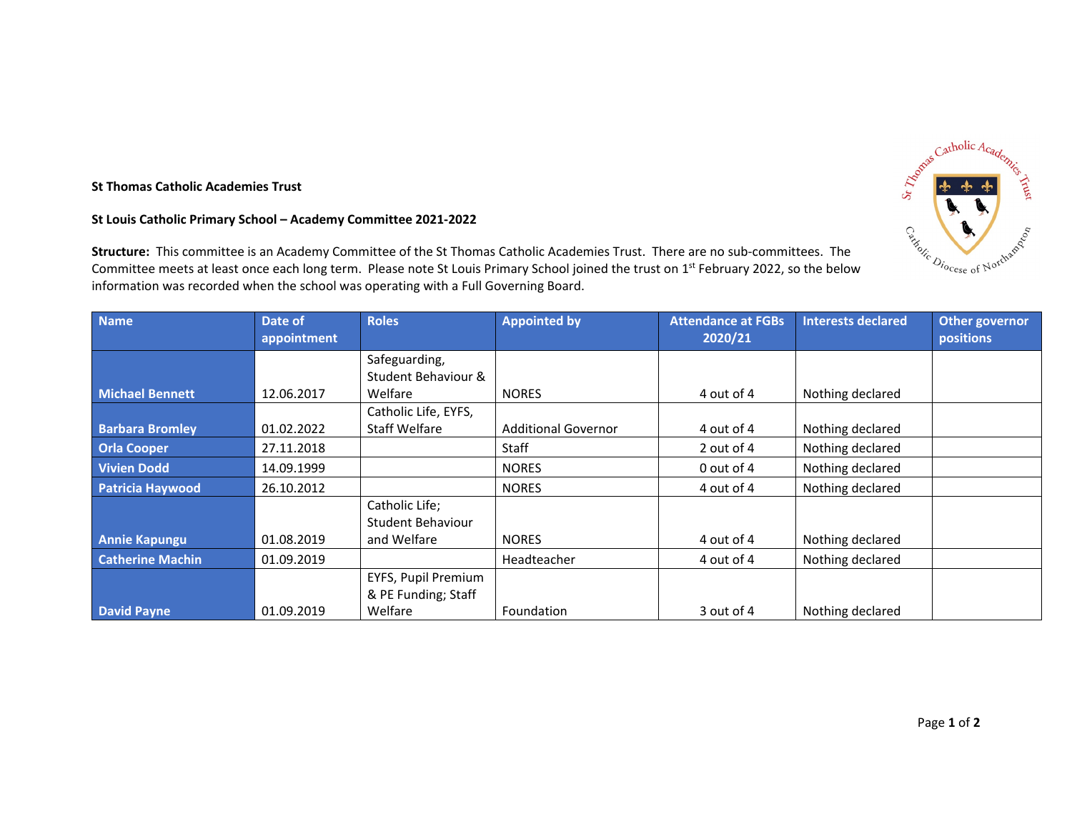## **St Thomas Catholic Academies Trust**

## **St Louis Catholic Primary School – Academy Committee 2021‐2022**

**Structure:** This committee is an Academy Committee of the St Thomas Catholic Academies Trust. There are no sub‐committees. The Committee meets at least once each long term. Please note St Louis Primary School joined the trust on 1<sup>st</sup> February 2022, so the below information was recorded when the school was operating with <sup>a</sup> Full Governing Board.

| <b>Name</b>             | Date of<br>appointment | <b>Roles</b>         | <b>Appointed by</b>        | <b>Attendance at FGBs</b><br>2020/21 | <b>Interests declared</b> | Other governor<br>positions |
|-------------------------|------------------------|----------------------|----------------------------|--------------------------------------|---------------------------|-----------------------------|
|                         |                        | Safeguarding,        |                            |                                      |                           |                             |
|                         |                        | Student Behaviour &  |                            |                                      |                           |                             |
| <b>Michael Bennett</b>  | 12.06.2017             | Welfare              | <b>NORES</b>               | 4 out of 4                           | Nothing declared          |                             |
|                         |                        | Catholic Life, EYFS, |                            |                                      |                           |                             |
| <b>Barbara Bromley</b>  | 01.02.2022             | <b>Staff Welfare</b> | <b>Additional Governor</b> | 4 out of 4                           | Nothing declared          |                             |
| <b>Orla Cooper</b>      | 27.11.2018             |                      | <b>Staff</b>               | 2 out of 4                           | Nothing declared          |                             |
| Vivien Dodd             | 14.09.1999             |                      | <b>NORES</b>               | 0 out of 4                           | Nothing declared          |                             |
| <b>Patricia Haywood</b> | 26.10.2012             |                      | <b>NORES</b>               | 4 out of 4                           | Nothing declared          |                             |
|                         |                        | Catholic Life;       |                            |                                      |                           |                             |
|                         |                        | Student Behaviour    |                            |                                      |                           |                             |
| <b>Annie Kapungu</b>    | 01.08.2019             | and Welfare          | <b>NORES</b>               | 4 out of 4                           | Nothing declared          |                             |
| <b>Catherine Machin</b> | 01.09.2019             |                      | Headteacher                | 4 out of 4                           | Nothing declared          |                             |
|                         |                        | EYFS, Pupil Premium  |                            |                                      |                           |                             |
|                         |                        | & PE Funding; Staff  |                            |                                      |                           |                             |
| <b>David Payne</b>      | 01.09.2019             | Welfare              | Foundation                 | 3 out of 4                           | Nothing declared          |                             |